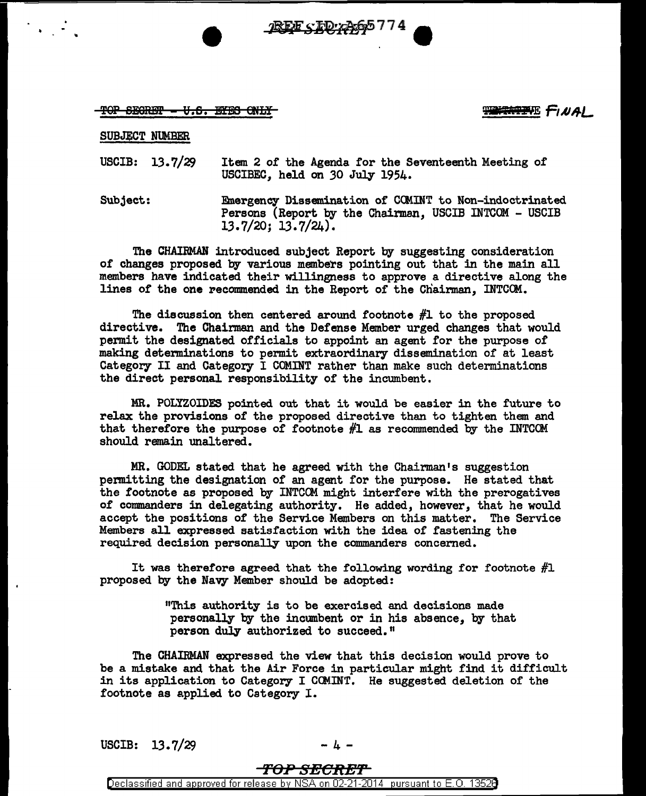**REE STORAG5774** 

TOP SEGRET - V.S. ETES ONLY

需要按要求 fiNAI

SUBJECT NUMBER

..

USCIB: 13. 7/29 Item 2 of the Agenda for the Seventeenth Meeting of USCIBEC, held on *30* July 1954.

Subject: Emergency Dissemination of CCMINT to Non-indoctrinated Persons (Report by the Chairman, USCIB INTCOM - USCIB 13.7/20; 13.7/24).

The CHAIRMAN introduced subject Report by suggesting consideration of changes proposed by various members pointing out that in the main all members have indicated their willingness to approve a directive along the lines of the one recommended in the Report of the Chairman, INTCOM.

The discussion then centered around footnote #1 to the proposed directive. The Chairman and the Defense Member urged changes that would permit the designated officials to appoint an agent for the purpose of making detenninations to permit extraordinary dissemination of at least Category II and Category I COMINT rather than make such determinations the direct personal responsibility of the incumbent.

MR. POLYZOIDES pointed out that it would be easier in the future to relax the provisions of the proposed directive than to tighten them and that therefore the purpose of footnote  $#1$  as recommended by the INTCOM should remain unaltered.

MR. GODEL stated that he agreed with the Chairman's suggestion permitting the designation of an agent for the purpose. He stated that the footnote as proposed by INTCCM might interfere with the prerogatives of cormnanders in delegating authority. He added, however, that he would accept the positions of the Service Members on this matter. The Service Members all expressed satisfaction with the idea of fastening the required decision personally upon the commanders concerned.

It was therefore agreed that the following wording for footnote  $#1$ proposed by the Navy Member should be adopted:

> "This authority is to be exercised and decisions made personally by the incumbent or in his absence, by that person duly authorized to succeed."

The CHAIRMAN expressed the view that this decision would prove to be a mistake and that the Air Force in particular might find it difficult in its application to Category I COMINT. He suggested deletion of the footnote as applied to Category I.

USCIB:  $13.7/29$  - 4 -

## 'FOP SECRB'f'

Declassified and approved for release by NSA on 02-21-2014 pursuant to E. 0. 1352B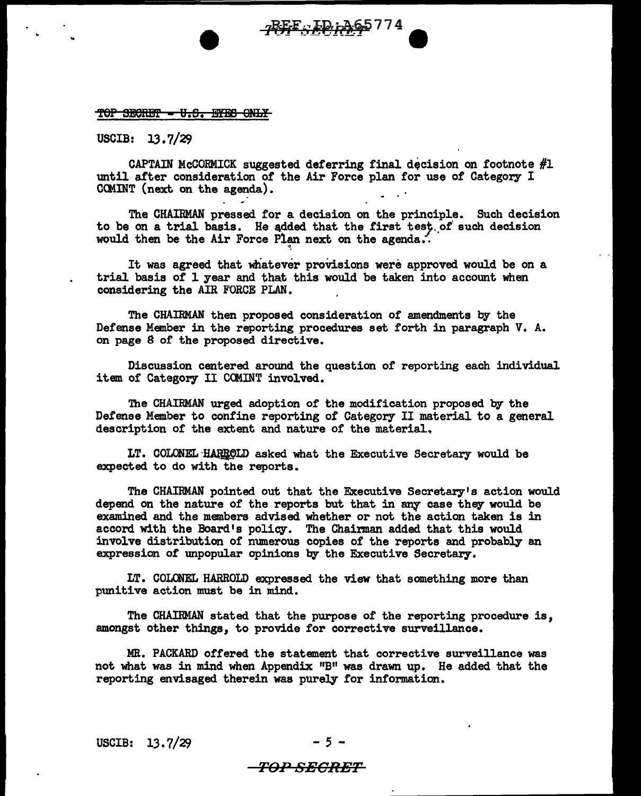#### TOP SECRET - U.S. EYES ONLY

USCIB: 13.7/29

..

CAPTAIN McCORMICK suggested deferring final decision on footnote  $#1$ until after consideration or the Air Force plan for use of Category I CCMINT (next on the agenda).

The CHAIRMAN pressed for a decision on the principle. Such decision to be on a trial basis. He added that the first test of such decision would then be the Air Force Plan next on the agenda.

It was agreed that whatever provisions were approved would be on a trial basis of 1 year and that this would be taken into account when considering the AIR FORCE PLAN.

·•,

The CHAIRMAN then proposed consideration of amendments by the Defense Member in the reporting procedures set forth in paragraph V. A. on page *8* of the proposed directive.

Discussion centered around the question of reporting each individual item of Category II COMINT involved.

The CHAIRMAN urged adoption of the modification proposed by the Defense Member to confine reporting of Category II material to a general description or the extent and nature of the material.

LT. COLONEL HARROLD asked what the Executive Secretary would be expected to do with the reports.

The CHAIRMAN pointed out that the Executive Secretary's action would depend on the nature of the reports but that in any case they would be examined and the members advised whether or not the action taken is in accord with the Board's policy. The Chairman added that this would involve distribution or numerous copies of the reports and probably an expression of unpopular opinions by the Executive Secretary.

LT. COLONEL HARROLD expressed the view that something more than punitive action must be in mind.

The CHAIRMAN stated that the purpose of the reporting procedure is, amongst other things, to provide for corrective surveillance.

MR. PACKARD offered the statement that corrective surveillance was not what was in mind when Appendix "B" was drawn up. He added that the reporting envisaged therein was purely for information.

USCIB:  $13.7/29$ 

# -TOP SECRET